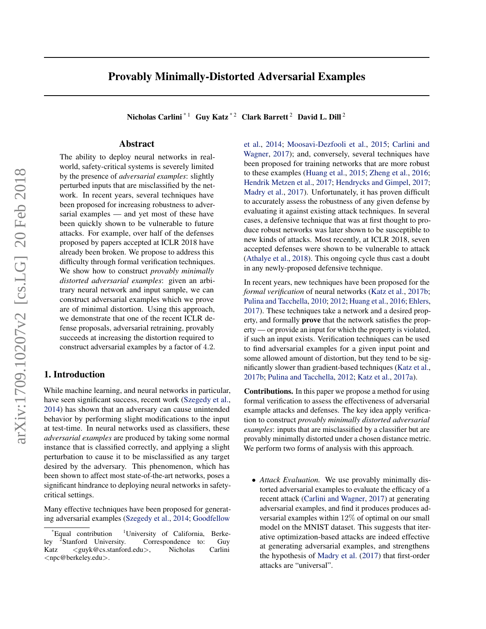# Provably Minimally-Distorted Adversarial Examples

Nicholas Carlini<sup>\*1</sup> Guy Katz<sup>\*2</sup> Clark Barrett<sup>2</sup> David L. Dill<sup>2</sup>

# Abstract

The ability to deploy neural networks in realworld, safety-critical systems is severely limited by the presence of *adversarial examples*: slightly perturbed inputs that are misclassified by the network. In recent years, several techniques have been proposed for increasing robustness to adversarial examples — and yet most of these have been quickly shown to be vulnerable to future attacks. For example, over half of the defenses proposed by papers accepted at ICLR 2018 have already been broken. We propose to address this difficulty through formal verification techniques. We show how to construct *provably minimally distorted adversarial examples*: given an arbitrary neural network and input sample, we can construct adversarial examples which we prove are of minimal distortion. Using this approach, we demonstrate that one of the recent ICLR defense proposals, adversarial retraining, provably succeeds at increasing the distortion required to construct adversarial examples by a factor of 4.2.

## 1. Introduction

While machine learning, and neural networks in particular, have seen significant success, recent work [\(Szegedy et al.,](#page-7-0) [2014\)](#page-7-0) has shown that an adversary can cause unintended behavior by performing slight modifications to the input at test-time. In neural networks used as classifiers, these *adversarial examples* are produced by taking some normal instance that is classified correctly, and applying a slight perturbation to cause it to be misclassified as any target desired by the adversary. This phenomenon, which has been shown to affect most state-of-the-art networks, poses a significant hindrance to deploying neural networks in safetycritical settings.

Many effective techniques have been proposed for generating adversarial examples [\(Szegedy et al.,](#page-7-0) [2014;](#page-7-0) [Goodfellow](#page-6-0)

[et al.,](#page-6-0) [2014;](#page-6-0) [Moosavi-Dezfooli et al.,](#page-6-0) [2015;](#page-6-0) [Carlini and](#page-6-0) [Wagner,](#page-6-0) [2017\)](#page-6-0); and, conversely, several techniques have been proposed for training networks that are more robust to these examples [\(Huang et al.,](#page-6-0) [2015;](#page-6-0) [Zheng et al.,](#page-7-0) [2016;](#page-7-0) [Hendrik Metzen et al.,](#page-6-0) [2017;](#page-6-0) [Hendrycks and Gimpel,](#page-6-0) [2017;](#page-6-0) [Madry et al.,](#page-6-0) [2017\)](#page-6-0). Unfortunately, it has proven difficult to accurately assess the robustness of any given defense by evaluating it against existing attack techniques. In several cases, a defensive technique that was at first thought to produce robust networks was later shown to be susceptible to new kinds of attacks. Most recently, at ICLR 2018, seven accepted defenses were shown to be vulnerable to attack [\(Athalye et al.,](#page-6-0) [2018\)](#page-6-0). This ongoing cycle thus cast a doubt in any newly-proposed defensive technique.

In recent years, new techniques have been proposed for the *formal verification* of neural networks [\(Katz et al.,](#page-6-0) [2017b;](#page-6-0) [Pulina and Tacchella,](#page-6-0) [2010;](#page-6-0) [2012;](#page-7-0) [Huang et al.,](#page-6-0) [2016;](#page-6-0) [Ehlers,](#page-6-0) [2017\)](#page-6-0). These techniques take a network and a desired property, and formally prove that the network satisfies the property — or provide an input for which the property is violated, if such an input exists. Verification techniques can be used to find adversarial examples for a given input point and some allowed amount of distortion, but they tend to be significantly slower than gradient-based techniques [\(Katz et al.,](#page-6-0) [2017b;](#page-6-0) [Pulina and Tacchella,](#page-7-0) [2012;](#page-7-0) [Katz et al.,](#page-6-0) [2017a\)](#page-6-0).

Contributions. In this paper we propose a method for using formal verification to assess the effectiveness of adversarial example attacks and defenses. The key idea apply verification to construct *provably minimally distorted adversarial examples*: inputs that are misclassified by a classifier but are provably minimally distorted under a chosen distance metric. We perform two forms of analysis with this approach.

• *Attack Evaluation.* We use provably minimally distorted adversarial examples to evaluate the efficacy of a recent attack [\(Carlini and Wagner,](#page-6-0) [2017\)](#page-6-0) at generating adversarial examples, and find it produces produces adversarial examples within 12% of optimal on our small model on the MNIST dataset. This suggests that iterative optimization-based attacks are indeed effective at generating adversarial examples, and strengthens the hypothesis of [Madry et al.](#page-6-0) [\(2017\)](#page-6-0) that first-order attacks are "universal".

<sup>\*</sup>Equal contribution <sup>1</sup>[University of California, Berke](#page-6-0)ley  $\text{Stanford}$  University. Correspondence to: Guy<br>  $\langle \text{guyk@cs.stanford.edu}\rangle$ , Nicholas Carlini Katz <guyk@cs.stanford.edu>, Nicholas <[npc@berkeley.edu](#page-6-0)>.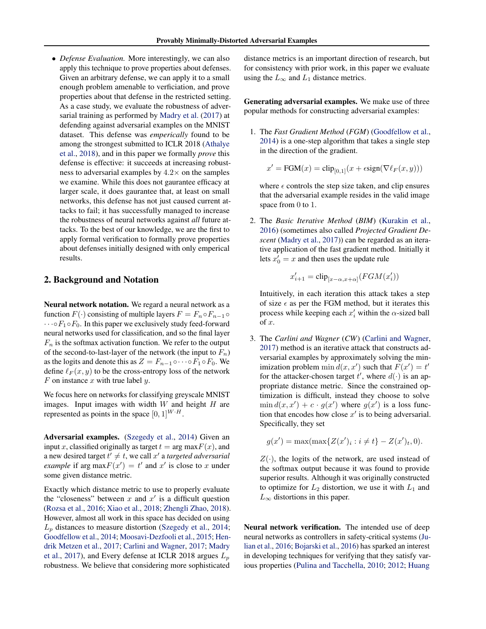<span id="page-1-0"></span>• *Defense Evaluation.* More interestingly, we can also apply this technique to prove properties about defenses. Given an arbitrary defense, we can apply it to a small enough problem amenable to verficiation, and prove properties about that defense in the restricted setting. As a case study, we evaluate the robustness of adversarial training as performed by [Madry et al.](#page-6-0) [\(2017\)](#page-6-0) at defending against adversarial examples on the MNIST dataset. This defense was *emperically* found to be among the strongest submitted to ICLR 2018 [\(Athalye](#page-6-0) [et al.,](#page-6-0) [2018\)](#page-6-0), and in this paper we formally *prove* this defense is effective: it succeeds at increasing robustness to adversarial examples by  $4.2 \times$  on the samples we examine. While this does not gaurantee efficacy at larger scale, it does gaurantee that, at least on small networks, this defense has not just caused current attacks to fail; it has successfully managed to increase the robustness of neural networks against *all* future attacks. To the best of our knowledge, we are the first to apply formal verification to formally prove properties about defenses initially designed with only emperical results.

## 2. Background and Notation

Neural network notation. We regard a neural network as a function  $F(\cdot)$  consisting of multiple layers  $F = F_n \circ F_{n-1} \circ$  $\cdots$   $\circ$   $F_1 \circ F_0$ . In this paper we exclusively study feed-forward neural networks used for classification, and so the final layer  $F_n$  is the softmax activation function. We refer to the output of the second-to-last-layer of the network (the input to  $F_n$ ) as the logits and denote this as  $Z = F_{n-1} \circ \cdots \circ F_1 \circ F_0$ . We define  $\ell_F (x, y)$  to be the cross-entropy loss of the network  $F$  on instance  $x$  with true label  $y$ .

We focus here on networks for classifying greyscale MNIST images. Input images with width  $W$  and height  $H$  are represented as points in the space  $[0, 1]^{W \cdot H}$ .

Adversarial examples. [\(Szegedy et al.,](#page-7-0) [2014\)](#page-7-0) Given an input x, classified originally as target  $t = \arg \max F(x)$ , and a new desired target  $t' \neq t$ , we call  $x'$  a *targeted adversarial example* if arg max $F(x') = t'$  and x' is close to x under some given distance metric.

Exactly which distance metric to use to properly evaluate the "closeness" between  $x$  and  $x'$  is a difficult question [\(Rozsa et al.,](#page-7-0) [2016;](#page-7-0) [Xiao et al.,](#page-7-0) [2018;](#page-7-0) [Zhengli Zhao,](#page-7-0) [2018\)](#page-7-0). However, almost all work in this space has decided on using  $L_p$  distances to measure distortion [\(Szegedy et al.,](#page-7-0) [2014;](#page-7-0) [Goodfellow et al.,](#page-6-0) [2014;](#page-6-0) [Moosavi-Dezfooli et al.,](#page-6-0) [2015;](#page-6-0) [Hen](#page-6-0)[drik Metzen et al.,](#page-6-0) [2017;](#page-6-0) [Carlini and Wagner,](#page-6-0) [2017;](#page-6-0) [Madry](#page-6-0) [et al.,](#page-6-0) [2017\)](#page-6-0), and Every defense at ICLR 2018 argues  $L<sub>n</sub>$ [robustness. We believe that considering more sophisticated](#page-6-0)

distance metrics is an important direction of research, but for consistency with prior work, in this paper we evaluate using the  $L_{\infty}$  and  $L_1$  distance metrics.

Generating adversarial examples. We make use of three popular methods for constructing adversarial examples:

1. The *Fast Gradient Method* (*FGM*) [\(Goodfellow et al.,](#page-6-0) [2014\)](#page-6-0) is a one-step algorithm that takes a single step in the direction of the gradient.

$$
x' = \text{FGM}(x) = \text{clip}_{[0,1]}(x + \epsilon \text{sign}(\nabla \ell_F(x, y)))
$$

where  $\epsilon$  controls the step size taken, and clip ensures that the adversarial example resides in the valid image space from 0 to 1.

2. The *Basic Iterative Method* (*BIM*) [\(Kurakin et al.,](#page-6-0) [2016\)](#page-6-0) (sometimes also called *Projected Gradient Descent* [\(Madry et al.,](#page-6-0) [2017\)](#page-6-0)) can be regarded as an iterative application of the fast gradient method. Initially it lets  $x'_0 = x$  and then uses the update rule

$$
x'_{i+1} = \text{clip}_{[x-\alpha, x+\alpha]}(FGM(x'_i))
$$

Intuitively, in each iteration this attack takes a step of size  $\epsilon$  as per the FGM method, but it iterates this process while keeping each  $x'_i$  within the  $\alpha$ -sized ball of x.

3. The *Carlini and Wagner* (*CW*) [\(Carlini and Wagner,](#page-6-0) [2017\)](#page-6-0) method is an iterative attack that constructs adversarial examples by approximately solving the minimization problem  $\min d(x, x')$  such that  $F(x') = t'$ for the attacker-chosen target t', where  $d(\cdot)$  is an appropriate distance metric. Since the constrained optimization is difficult, instead they choose to solve  $\min d(x, x') + c \cdot g(x')$  where  $g(x')$  is a loss function that encodes how close  $x'$  is to being adversarial. Specifically, they set

$$
g(x') = \max(\max\{Z(x')_i : i \neq t\} - Z(x')_t, 0).
$$

 $Z(\cdot)$ , the logits of the network, are used instead of the softmax output because it was found to provide superior results. Although it was originally constructed to optimize for  $L_2$  distortion, we use it with  $L_1$  and  $L_{\infty}$  distortions in this paper.

Neural network verification. The intended use of deep neural networks as controllers in safety-critical systems [\(Ju](#page-6-0)[lian et al.,](#page-6-0) [2016;](#page-6-0) [Bojarski et al.,](#page-6-0) [2016\)](#page-6-0) has sparked an interest in developing techniques for verifying that they satisfy various properties [\(Pulina and Tacchella,](#page-6-0) [2010;](#page-6-0) [2012;](#page-7-0) [Huang](#page-6-0)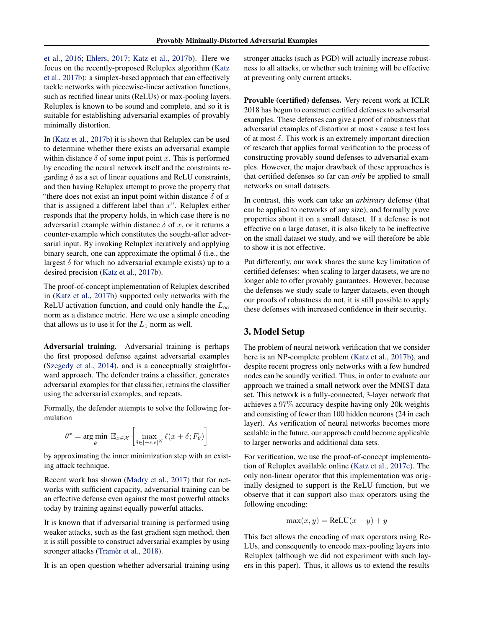<span id="page-2-0"></span>[et al.,](#page-6-0) [2016;](#page-6-0) [Ehlers,](#page-6-0) [2017;](#page-6-0) [Katz et al.,](#page-6-0) [2017b\)](#page-6-0). Here we focus on the recently-proposed Reluplex algorithm [\(Katz](#page-6-0) [et al.,](#page-6-0) [2017b\)](#page-6-0): a simplex-based approach that can effectively tackle networks with piecewise-linear activation functions, such as rectified linear units (ReLUs) or max-pooling layers. Reluplex is known to be sound and complete, and so it is suitable for establishing adversarial examples of provably minimally distortion.

In [\(Katz et al.,](#page-6-0) [2017b\)](#page-6-0) it is shown that Reluplex can be used to determine whether there exists an adversarial example within distance  $\delta$  of some input point x. This is performed by encoding the neural network itself and the constraints regarding  $\delta$  as a set of linear equations and ReLU constraints, and then having Reluplex attempt to prove the property that "there does not exist an input point within distance  $\delta$  of x that is assigned a different label than  $x$ ". Reluplex either responds that the property holds, in which case there is no adversarial example within distance  $\delta$  of x, or it returns a counter-example which constitutes the sought-after adversarial input. By invoking Reluplex iteratively and applying binary search, one can approximate the optimal  $\delta$  (i.e., the largest  $\delta$  for which no adversarial example exists) up to a desired precision [\(Katz et al.,](#page-6-0) [2017b\)](#page-6-0).

The proof-of-concept implementation of Reluplex described in [\(Katz et al.,](#page-6-0) [2017b\)](#page-6-0) supported only networks with the ReLU activation function, and could only handle the  $L_{\infty}$ norm as a distance metric. Here we use a simple encoding that allows us to use it for the  $L_1$  norm as well.

Adversarial training. Adversarial training is perhaps the first proposed defense against adversarial examples [\(Szegedy et al.,](#page-7-0) [2014\)](#page-7-0), and is a conceptually straightforward approach. The defender trains a classifier, generates adversarial examples for that classifier, retrains the classifier using the adversarial examples, and repeats.

Formally, the defender attempts to solve the following formulation

$$
\theta^* = \underset{\theta}{\arg\min} \ \mathbb{E}_{x \in \mathcal{X}} \left[ \max_{\delta \in [-\epsilon, \epsilon]^N} \ell(x + \delta; F_{\theta}) \right]
$$

by approximating the inner minimization step with an existing attack technique.

Recent work has shown [\(Madry et al.,](#page-6-0) [2017\)](#page-6-0) that for networks with sufficient capacity, adversarial training can be an effective defense even against the most powerful attacks today by training against equally powerful attacks.

It is known that if adversarial training is performed using weaker attacks, such as the fast gradient sign method, then it is still possible to construct adversarial examples by using stronger attacks (Tramèr et al., [2018\)](#page-7-0).

It is an open question whether adversarial training using

stronger attacks (such as PGD) will actually increase robustness to all attacks, or whether such training will be effective at preventing only current attacks.

Provable (certified) defenses. Very recent work at ICLR 2018 has begun to construct certified defenses to adversarial examples. These defenses can give a proof of robustness that adversarial examples of distortion at most  $\epsilon$  cause a test loss of at most  $\delta$ . This work is an extremely important direction of research that applies formal verification to the process of constructing provably sound defenses to adversarial examples. However, the major drawback of these approaches is that certified defenses so far can *only* be applied to small networks on small datasets.

In contrast, this work can take an *arbitrary* defense (that can be applied to networks of any size), and formally prove properties about it on a small dataset. If a defense is not effective on a large dataset, it is also likely to be ineffective on the small dataset we study, and we will therefore be able to show it is not effective.

Put differently, our work shares the same key limitation of certified defenses: when scaling to larger datasets, we are no longer able to offer provably gaurantees. However, because the defenses we study scale to larger datasets, even though our proofs of robustness do not, it is still possible to apply these defenses with increased confidence in their security.

# 3. Model Setup

The problem of neural network verification that we consider here is an NP-complete problem [\(Katz et al.,](#page-6-0) [2017b\)](#page-6-0), and despite recent progress only networks with a few hundred nodes can be soundly verified. Thus, in order to evaluate our approach we trained a small network over the MNIST data set. This network is a fully-connected, 3-layer network that achieves a 97% accuracy despite having only 20k weights and consisting of fewer than 100 hidden neurons (24 in each layer). As verification of neural networks becomes more scalable in the future, our approach could become applicable to larger networks and additional data sets.

For verification, we use the proof-of-concept implementation of Reluplex available online [\(Katz et al.,](#page-6-0) [2017c\)](#page-6-0). The only non-linear operator that this implementation was originally designed to support is the ReLU function, but we observe that it can support also max operators using the following encoding:

$$
\max(x, y) = \text{ReLU}(x - y) + y
$$

This fact allows the encoding of max operators using Re-LUs, and consequently to encode max-pooling layers into Reluplex (although we did not experiment with such layers in this paper). Thus, it allows us to extend the results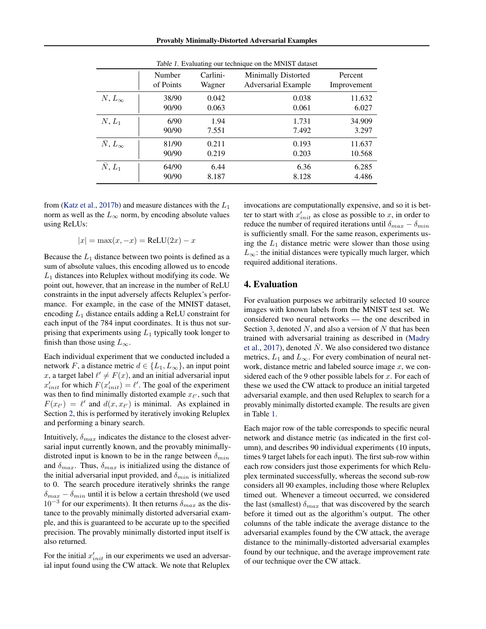Provably Minimally-Distorted Adversarial Examples

<span id="page-3-0"></span>

|                       | Number    | Carlini- | Minimally Distorted        | Percent     |
|-----------------------|-----------|----------|----------------------------|-------------|
|                       | of Points | Wagner   | <b>Adversarial Example</b> | Improvement |
| $N, L_{\infty}$       | 38/90     | 0.042    | 0.038                      | 11.632      |
|                       | 90/90     | 0.063    | 0.061                      | 6.027       |
| $N, L_1$              | 6/90      | 1.94     | 1.731                      | 34.909      |
|                       | 90/90     | 7.551    | 7.492                      | 3.297       |
| $\bar{N}, L_{\infty}$ | 81/90     | 0.211    | 0.193                      | 11.637      |
|                       | 90/90     | 0.219    | 0.203                      | 10.568      |
| $\bar{N}, L_1$        | 64/90     | 6.44     | 6.36                       | 6.285       |
|                       | 90/90     | 8.187    | 8.128                      | 4.486       |

| Table 1. Evaluating our technique on the MNIST dataset |  |  |  |
|--------------------------------------------------------|--|--|--|
|                                                        |  |  |  |

from [\(Katz et al.,](#page-6-0) [2017b\)](#page-6-0) and measure distances with the  $L_1$ norm as well as the  $L_{\infty}$  norm, by encoding absolute values using ReLUs:

$$
|x| = \max(x, -x) = \text{ReLU}(2x) - x
$$

Because the  $L_1$  distance between two points is defined as a sum of absolute values, this encoding allowed us to encode  $L_1$  distances into Reluplex without modifying its code. We point out, however, that an increase in the number of ReLU constraints in the input adversely affects Reluplex's performance. For example, in the case of the MNIST dataset, encoding  $L_1$  distance entails adding a ReLU constraint for each input of the 784 input coordinates. It is thus not surprising that experiments using  $L_1$  typically took longer to finish than those using  $L_{\infty}$ .

Each individual experiment that we conducted included a network F, a distance metric  $d \in \{L_1, L_\infty\}$ , an input point x, a target label  $\ell' \neq F(x)$ , and an initial adversarial input  $x'_{init}$  for which  $F(x'_{init}) = \ell'$ . The goal of the experiment was then to find minimally distorted example  $x_{\ell'}$ , such that  $F(x_{\ell'}) = \ell'$  and  $d(x, x_{\ell'})$  is minimal. As explained in Section [2,](#page-1-0) this is performed by iteratively invoking Reluplex and performing a binary search.

Intuitively,  $\delta_{max}$  indicates the distance to the closest adversarial input currently known, and the provably minimallydistroted input is known to be in the range between  $\delta_{min}$ and  $\delta_{max}$ . Thus,  $\delta_{max}$  is initialized using the distance of the initial adversarial input provided, and  $\delta_{min}$  is initialized to 0. The search procedure iteratively shrinks the range  $\delta_{max} - \delta_{min}$  until it is below a certain threshold (we used  $10^{-3}$  for our experiments). It then returns  $\delta_{max}$  as the distance to the provably minimally distorted adversarial example, and this is guaranteed to be accurate up to the specified precision. The provably minimally distorted input itself is also returned.

For the initial  $x'_{init}$  in our experiments we used an adversarial input found using the CW attack. We note that Reluplex

invocations are computationally expensive, and so it is better to start with  $x'_{init}$  as close as possible to x, in order to reduce the number of required iterations until  $\delta_{max} - \delta_{min}$ is sufficiently small. For the same reason, experiments using the  $L_1$  distance metric were slower than those using  $L_{\infty}$ : the initial distances were typically much larger, which required additional iterations.

#### 4. Evaluation

For evaluation purposes we arbitrarily selected 10 source images with known labels from the MNIST test set. We considered two neural networks — the one described in Section [3,](#page-2-0) denoted  $N$ , and also a version of  $N$  that has been trained with adversarial training as described in [\(Madry](#page-6-0) [et al.,](#page-6-0) [2017\)](#page-6-0), denoted  $N$ . We also considered two distance metrics,  $L_1$  and  $L_{\infty}$ . For every combination of neural network, distance metric and labeled source image  $x$ , we considered each of the 9 other possible labels for  $x$ . For each of these we used the CW attack to produce an initial targeted adversarial example, and then used Reluplex to search for a provably minimally distorted example. The results are given in Table 1.

Each major row of the table corresponds to specific neural network and distance metric (as indicated in the first column), and describes 90 individual experiments (10 inputs, times 9 target labels for each input). The first sub-row within each row considers just those experiments for which Reluplex terminated successfully, whereas the second sub-row considers all 90 examples, including those where Reluplex timed out. Whenever a timeout occurred, we considered the last (smallest)  $\delta_{max}$  that was discovered by the search before it timed out as the algorithm's output. The other columns of the table indicate the average distance to the adversarial examples found by the CW attack, the average distance to the minimally-distorted adversarial examples found by our technique, and the average improvement rate of our technique over the CW attack.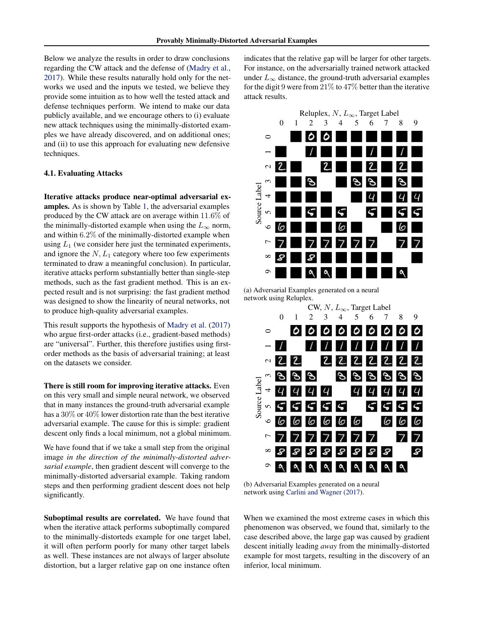Below we analyze the results in order to draw conclusions regarding the CW attack and the defense of [\(Madry et al.,](#page-6-0) [2017\)](#page-6-0). While these results naturally hold only for the networks we used and the inputs we tested, we believe they provide some intuition as to how well the tested attack and defense techniques perform. We intend to make our data publicly available, and we encourage others to (i) evaluate new attack techniques using the minimally-distorted examples we have already discovered, and on additional ones; and (ii) to use this approach for evaluating new defensive techniques.

#### 4.1. Evaluating Attacks

Iterative attacks produce near-optimal adversarial examples. As is shown by Table [1,](#page-3-0) the adversarial examples produced by the CW attack are on average within 11.6% of the minimally-distorted example when using the  $L_{\infty}$  norm, and within 6.2% of the minimally-distorted example when using  $L_1$  (we consider here just the terminated experiments, and ignore the  $N, L_1$  category where too few experiments terminated to draw a meaningful conclusion). In particular, iterative attacks perform substantially better than single-step methods, such as the fast gradient method. This is an expected result and is not surprising: the fast gradient method was designed to show the linearity of neural networks, not to produce high-quality adversarial examples.

This result supports the hypothesis of [Madry et al.](#page-6-0) [\(2017\)](#page-6-0) who argue first-order attacks (i.e., gradient-based methods) are "universal". Further, this therefore justifies using firstorder methods as the basis of adversarial training; at least on the datasets we consider.

There is still room for improving iterative attacks. Even on this very small and simple neural network, we observed that in many instances the ground-truth adversarial example has a 30% or 40% lower distortion rate than the best iterative adversarial example. The cause for this is simple: gradient descent only finds a local minimum, not a global minimum.

We have found that if we take a small step from the original image *in the direction of the minimally-distorted adversarial example*, then gradient descent will converge to the minimally-distorted adversarial example. Taking random steps and then performing gradient descent does not help significantly.

Suboptimal results are correlated. We have found that when the iterative attack performs suboptimally compared to the minimally-distorteds example for one target label, it will often perform poorly for many other target labels as well. These instances are not always of larger absolute distortion, but a larger relative gap on one instance often

indicates that the relative gap will be larger for other targets. For instance, on the adversarially trained network attacked under  $L_{\infty}$  distance, the ground-truth adversarial examples for the digit 9 were from  $21\%$  to  $47\%$  better than the iterative attack results.



(a) Adversarial Examples generated on a neural network using Reluplex.



(b) Adversarial Examples generated on a neural network using [Carlini and Wagner](#page-6-0) [\(2017\)](#page-6-0).

When we examined the most extreme cases in which this phenomenon was observed, we found that, similarly to the case described above, the large gap was caused by gradient descent initially leading *away* from the minimally-distorted example for most targets, resulting in the discovery of an inferior, local minimum.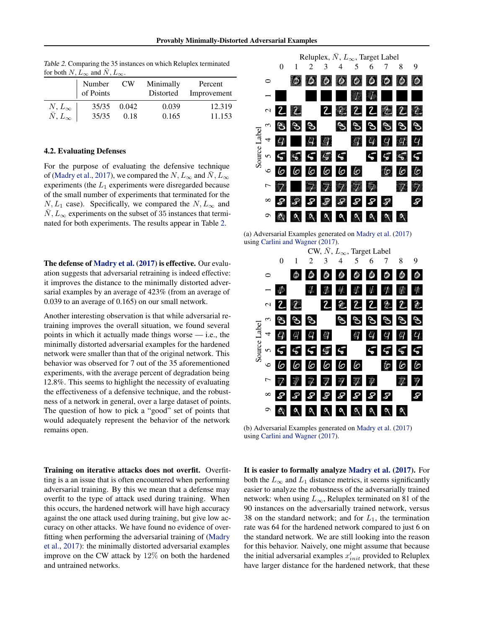|                            | Number<br>of Points | CW <sub></sub> | Minimally<br>Distorted | Percent<br>Improvement |
|----------------------------|---------------------|----------------|------------------------|------------------------|
| $N\llcorner L_\infty$      | 35/35               | 0.042          | 0.039                  | 12.319                 |
| $\overline{N}, L_{\infty}$ | 35/35               | 0.18           | 0.165                  | 11.153                 |

Table 2. Comparing the 35 instances on which Reluplex terminated for both  $N, L_{\infty}$  and  $\bar{N}, L_{\infty}$ .

#### 4.2. Evaluating Defenses

For the purpose of evaluating the defensive technique of [\(Madry et al.,](#page-6-0) [2017\)](#page-6-0), we compared the  $N, L_{\infty}$  and  $\bar{N}, L_{\infty}$ experiments (the  $L_1$  experiments were disregarded because of the small number of experiments that terminated for the  $N, L_1$  case). Specifically, we compared the  $N, L_\infty$  and  $N, L_{\infty}$  experiments on the subset of 35 instances that terminated for both experiments. The results appear in Table 2.

The defense of [Madry et al.](#page-6-0) [\(2017\)](#page-6-0) is effective. Our evaluation suggests that adversarial retraining is indeed effective: it improves the distance to the minimally distorted adversarial examples by an average of 423% (from an average of 0.039 to an average of 0.165) on our small network.

Another interesting observation is that while adversarial retraining improves the overall situation, we found several points in which it actually made things worse  $-$  i.e., the minimally distorted adversarial examples for the hardened network were smaller than that of the original network. This behavior was observed for 7 out of the 35 aforementioned experiments, with the average percent of degradation being 12.8%. This seems to highlight the necessity of evaluating the effectiveness of a defensive technique, and the robustness of a network in general, over a large dataset of points. The question of how to pick a "good" set of points that would adequately represent the behavior of the network remains open.

Training on iterative attacks does not overfit. Overfitting is a an issue that is often encountered when performing adversarial training. By this we mean that a defense may overfit to the type of attack used during training. When this occurs, the hardened network will have high accuracy against the one attack used during training, but give low accuracy on other attacks. We have found no evidence of overfitting when performing the adversarial training of [\(Madry](#page-6-0) [et al.,](#page-6-0) [2017\)](#page-6-0): the minimally distorted adversarial examples improve on the CW attack by 12% on both the hardened and untrained networks.



(a) Adversarial Examples generated on [Madry et al.](#page-6-0) [\(2017\)](#page-6-0) using [Carlini and Wagner](#page-6-0) [\(2017\)](#page-6-0).



(b) Adversarial Examples generated on [Madry et al.](#page-6-0) [\(2017\)](#page-6-0) using [Carlini and Wagner](#page-6-0) [\(2017\)](#page-6-0).

It is easier to formally analyze [Madry et al.](#page-6-0) [\(2017\)](#page-6-0). For both the  $L_{\infty}$  and  $L_1$  distance metrics, it seems significantly easier to analyze the robustness of the adversarially trained network: when using  $L_{\infty}$ , Reluplex terminated on 81 of the 90 instances on the adversarially trained network, versus 38 on the standard network; and for  $L_1$ , the termination rate was 64 for the hardened network compared to just 6 on the standard network. We are still looking into the reason for this behavior. Naively, one might assume that because the initial adversarial examples  $x'_{init}$  provided to Reluplex have larger distance for the hardened network, that these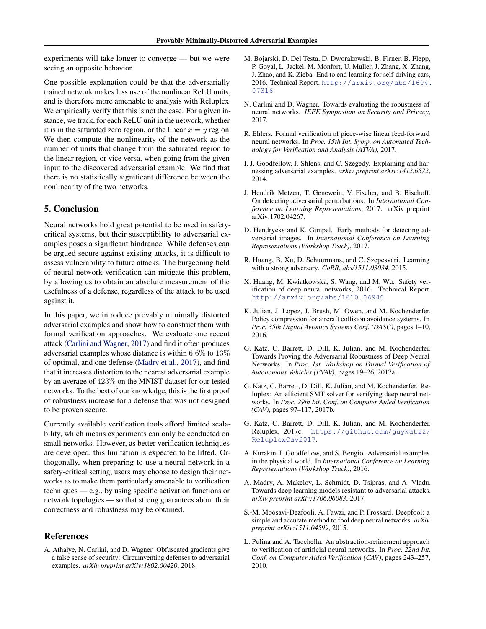<span id="page-6-0"></span>experiments will take longer to converge — but we were seeing an opposite behavior.

One possible explanation could be that the adversarially trained network makes less use of the nonlinear ReLU units, and is therefore more amenable to analysis with Reluplex. We empirically verify that this is not the case. For a given instance, we track, for each ReLU unit in the network, whether it is in the saturated zero region, or the linear  $x = y$  region. We then compute the nonlinearity of the network as the number of units that change from the saturated region to the linear region, or vice versa, when going from the given input to the discovered adversarial example. We find that there is no statistically significant difference between the nonlinearity of the two networks.

# 5. Conclusion

Neural networks hold great potential to be used in safetycritical systems, but their susceptibility to adversarial examples poses a significant hindrance. While defenses can be argued secure against existing attacks, it is difficult to assess vulnerability to future attacks. The burgeoning field of neural network verification can mitigate this problem, by allowing us to obtain an absolute measurement of the usefulness of a defense, regardless of the attack to be used against it.

In this paper, we introduce provably minimally distorted adversarial examples and show how to construct them with formal verification approaches. We evaluate one recent attack (Carlini and Wagner, 2017) and find it often produces adversarial examples whose distance is within 6.6% to 13% of optimal, and one defense (Madry et al., 2017), and find that it increases distortion to the nearest adversarial example by an average of 423% on the MNIST dataset for our tested networks. To the best of our knowledge, this is the first proof of robustness increase for a defense that was not designed to be proven secure.

Currently available verification tools afford limited scalability, which means experiments can only be conducted on small networks. However, as better verification techniques are developed, this limitation is expected to be lifted. Orthogonally, when preparing to use a neural network in a safety-critical setting, users may choose to design their networks as to make them particularly amenable to verification techniques — e.g., by using specific activation functions or network topologies — so that strong guarantees about their correctness and robustness may be obtained.

#### References

A. Athalye, N. Carlini, and D. Wagner. Obfuscated gradients give a false sense of security: Circumventing defenses to adversarial examples. *arXiv preprint arXiv:1802.00420*, 2018.

- M. Bojarski, D. Del Testa, D. Dworakowski, B. Firner, B. Flepp, P. Goyal, L. Jackel, M. Monfort, U. Muller, J. Zhang, X. Zhang, J. Zhao, and K. Zieba. End to end learning for self-driving cars, 2016. Technical Report. [http://arxiv.org/abs/1604.](http://arxiv.org/abs/1604.07316) [07316](http://arxiv.org/abs/1604.07316).
- N. Carlini and D. Wagner. Towards evaluating the robustness of neural networks. *IEEE Symposium on Security and Privacy*, 2017.
- R. Ehlers. Formal verification of piece-wise linear feed-forward neural networks. In *Proc. 15th Int. Symp. on Automated Technology for Verification and Analysis (ATVA)*, 2017.
- I. J. Goodfellow, J. Shlens, and C. Szegedy. Explaining and harnessing adversarial examples. *arXiv preprint arXiv:1412.6572*, 2014.
- J. Hendrik Metzen, T. Genewein, V. Fischer, and B. Bischoff. On detecting adversarial perturbations. In *International Conference on Learning Representations*, 2017. arXiv preprint arXiv:1702.04267.
- D. Hendrycks and K. Gimpel. Early methods for detecting adversarial images. In *International Conference on Learning Representations (Workshop Track)*, 2017.
- R. Huang, B. Xu, D. Schuurmans, and C. Szepesvári. Learning with a strong adversary. *CoRR, abs/1511.03034*, 2015.
- X. Huang, M. Kwiatkowska, S. Wang, and M. Wu. Safety verification of deep neural networks, 2016. Technical Report. <http://arxiv.org/abs/1610.06940>.
- K. Julian, J. Lopez, J. Brush, M. Owen, and M. Kochenderfer. Policy compression for aircraft collision avoidance systems. In *Proc. 35th Digital Avionics Systems Conf. (DASC)*, pages 1–10, 2016.
- G. Katz, C. Barrett, D. Dill, K. Julian, and M. Kochenderfer. Towards Proving the Adversarial Robustness of Deep Neural Networks. In *Proc. 1st. Workshop on Formal Verification of Autonomous Vehicles (FVAV)*, pages 19–26, 2017a.
- G. Katz, C. Barrett, D. Dill, K. Julian, and M. Kochenderfer. Reluplex: An efficient SMT solver for verifying deep neural networks. In *Proc. 29th Int. Conf. on Computer Aided Verification (CAV)*, pages 97–117, 2017b.
- G. Katz, C. Barrett, D. Dill, K. Julian, and M. Kochenderfer. Reluplex, 2017c. [https://github.com/guykatzz/](https://github.com/guykatzz/ReluplexCav2017) [ReluplexCav2017](https://github.com/guykatzz/ReluplexCav2017).
- A. Kurakin, I. Goodfellow, and S. Bengio. Adversarial examples in the physical world. In *International Conference on Learning Representations (Workshop Track)*, 2016.
- A. Madry, A. Makelov, L. Schmidt, D. Tsipras, and A. Vladu. Towards deep learning models resistant to adversarial attacks. *arXiv preprint arXiv:1706.06083*, 2017.
- S.-M. Moosavi-Dezfooli, A. Fawzi, and P. Frossard. Deepfool: a simple and accurate method to fool deep neural networks. *arXiv preprint arXiv:1511.04599*, 2015.
- L. Pulina and A. Tacchella. An abstraction-refinement approach to verification of artificial neural networks. In *Proc. 22nd Int. Conf. on Computer Aided Verification (CAV)*, pages 243–257, 2010.